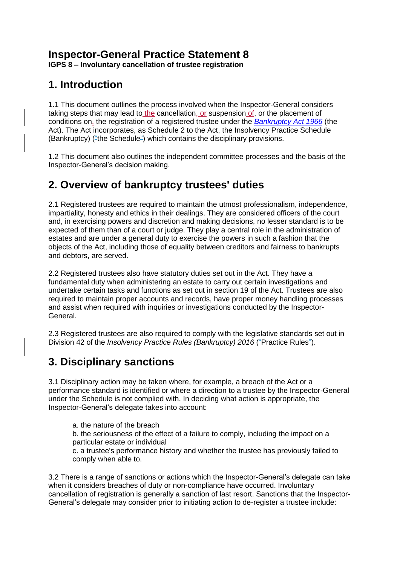# **Inspector-General Practice Statement 8**

**IGPS 8 – Involuntary cancellation of trustee registration**

### **1. Introduction**

1.1 This document outlines the process involved when the Inspector-General considers taking steps that may lead to the cancellation, or suspension of, or the placement of conditions on, the registration of a registered trustee under the *[Bankruptcy Act 1966](http://www.austlii.edu.au/au/legis/cth/consol_act/ba1966142/)* (the Act). The Act incorporates, as Schedule 2 to the Act, the Insolvency Practice Schedule (Bankruptcy) ("the Schedule") which contains the disciplinary provisions.

1.2 This document also outlines the independent committee processes and the basis of the Inspector-General's decision making.

# **2. Overview of bankruptcy trustees' duties**

2.1 Registered trustees are required to maintain the utmost professionalism, independence, impartiality, honesty and ethics in their dealings. They are considered officers of the court and, in exercising powers and discretion and making decisions, no lesser standard is to be expected of them than of a court or judge. They play a central role in the administration of estates and are under a general duty to exercise the powers in such a fashion that the objects of the Act, including those of equality between creditors and fairness to bankrupts and debtors, are served.

2.2 Registered trustees also have statutory duties set out in the Act. They have a fundamental duty when administering an estate to carry out certain investigations and undertake certain tasks and functions as set out in section 19 of the Act. Trustees are also required to maintain proper accounts and records, have proper money handling processes and assist when required with inquiries or investigations conducted by the Inspector-General.

2.3 Registered trustees are also required to comply with the legislative standards set out in Division 42 of the *Insolvency Practice Rules (Bankruptcy) 2016* ("Practice Rules").

# **3. Disciplinary sanctions**

3.1 Disciplinary action may be taken where, for example, a breach of the Act or a performance standard is identified or where a direction to a trustee by the Inspector-General under the Schedule is not complied with. In deciding what action is appropriate, the Inspector-General's delegate takes into account:

a. the nature of the breach

b. the seriousness of the effect of a failure to comply, including the impact on a particular estate or individual

c. a trustee's performance history and whether the trustee has previously failed to comply when able to.

3.2 There is a range of sanctions or actions which the Inspector-General's delegate can take when it considers breaches of duty or non-compliance have occurred. Involuntary cancellation of registration is generally a sanction of last resort. Sanctions that the Inspector-General's delegate may consider prior to initiating action to de-register a trustee include: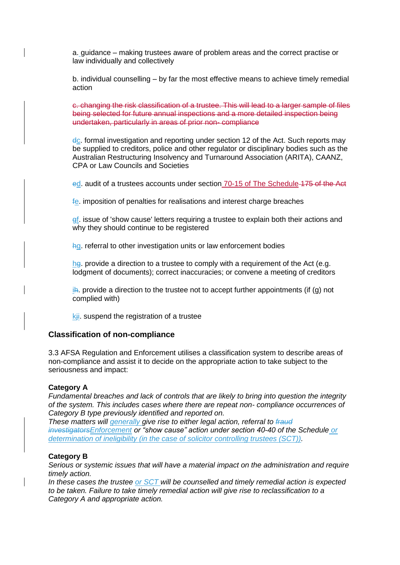a. guidance – making trustees aware of problem areas and the correct practise or law individually and collectively

b. individual counselling – by far the most effective means to achieve timely remedial action

c. changing the risk classification of a trustee. This will lead to a larger sample of files being selected for future annual inspections and a more detailed inspection being undertaken, particularly in areas of prior non- compliance

 $d_{\mathbb{C}}$ . formal investigation and reporting under section 12 of the Act. Such reports may be supplied to creditors, police and other regulator or disciplinary bodies such as the Australian Restructuring Insolvency and Turnaround Association (ARITA), CAANZ, CPA or Law Councils and Societies

ed. audit of a trustees accounts under section 70-15 of The Schedule 175 of the Act

fe. imposition of penalties for realisations and interest charge breaches

ef. issue of 'show cause' letters requiring a trustee to explain both their actions and why they should continue to be registered

hg. referral to other investigation units or law enforcement bodies

hg. provide a direction to a trustee to comply with a requirement of the Act (e.g. lodgment of documents); correct inaccuracies; or convene a meeting of creditors

 $i$ h. provide a direction to the trustee not to accept further appointments (if (g) not complied with)

kij. suspend the registration of a trustee

#### **Classification of non-compliance**

3.3 AFSA Regulation and Enforcement utilises a classification system to describe areas of non-compliance and assist it to decide on the appropriate action to take subject to the seriousness and impact:

#### **Category A**

*Fundamental breaches and lack of controls that are likely to bring into question the integrity of the system. This includes cases where there are repeat non- compliance occurrences of Category B type previously identified and reported on.*

*These matters will generally give rise to either legal action, referral to fraud investigatorsEnforcement or "show cause" action under section 40-40 of the Schedule or determination of ineligibility (in the case of solicitor controlling trustees (SCT)).* 

#### **Category B**

*Serious or systemic issues that will have a material impact on the administration and require timely action.*

*In these cases the trustee or SCT will be counselled and timely remedial action is expected to be taken. Failure to take timely remedial action will give rise to reclassification to a Category A and appropriate action.*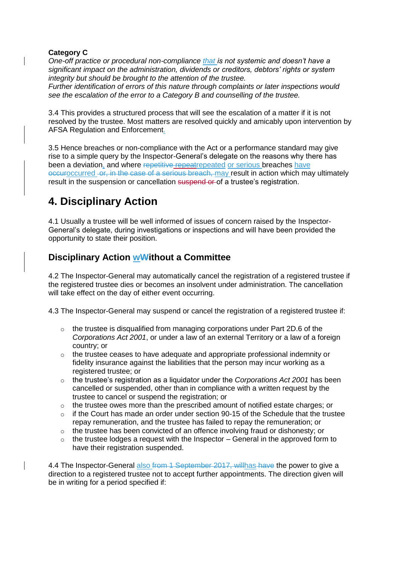#### **Category C**

*One-off practice or procedural non-compliance that is not systemic and doesn't have a significant impact on the administration, dividends or creditors, debtors' rights or system integrity but should be brought to the attention of the trustee.*

*Further identification of errors of this nature through complaints or later inspections would see the escalation of the error to a Category B and counselling of the trustee.*

3.4 This provides a structured process that will see the escalation of a matter if it is not resolved by the trustee. Most matters are resolved quickly and amicably upon intervention by AFSA Regulation and Enforcement.

3.5 Hence breaches or non-compliance with the Act or a performance standard may give rise to a simple query by the Inspector-General's delegate on the reasons why there has been a deviation, and where repetitive repeatrepeated or serious breaches have occurred or, in the case of a serious breach, may result in action which may ultimately result in the suspension or cancellation suspend or of a trustee's registration.

# **4. Disciplinary Action**

4.1 Usually a trustee will be well informed of issues of concern raised by the Inspector-General's delegate, during investigations or inspections and will have been provided the opportunity to state their position.

### **Disciplinary Action wWithout a Committee**

4.2 The Inspector-General may automatically cancel the registration of a registered trustee if the registered trustee dies or becomes an insolvent under administration. The cancellation will take effect on the day of either event occurring.

4.3 The Inspector-General may suspend or cancel the registration of a registered trustee if:

- $\circ$  the trustee is disqualified from managing corporations under Part 2D.6 of the *Corporations Act 2001*, or under a law of an external Territory or a law of a foreign country; or
- $\circ$  the trustee ceases to have adequate and appropriate professional indemnity or fidelity insurance against the liabilities that the person may incur working as a registered trustee; or
- o the trustee's registration as a liquidator under the *Corporations Act 2001* has been cancelled or suspended, other than in compliance with a written request by the trustee to cancel or suspend the registration; or
- $\circ$  the trustee owes more than the prescribed amount of notified estate charges; or
- $\circ$  if the Court has made an order under section 90-15 of the Schedule that the trustee repay remuneration, and the trustee has failed to repay the remuneration; or
- $\circ$  the trustee has been convicted of an offence involving fraud or dishonesty; or
- $\circ$  the trustee lodges a request with the Inspector General in the approved form to have their registration suspended.

4.4 The Inspector-General also from 1 September 2017, willhas have the power to give a direction to a registered trustee not to accept further appointments. The direction given will be in writing for a period specified if: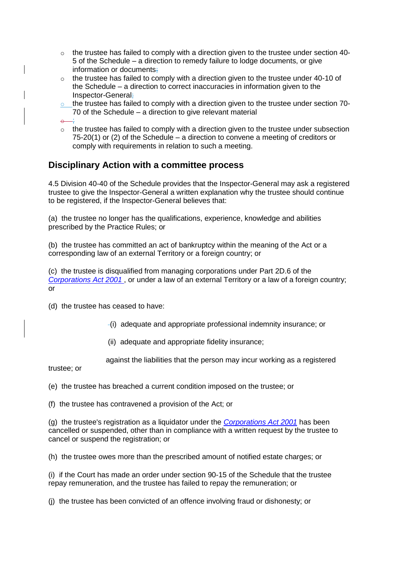- $\circ$  the trustee has failed to comply with a direction given to the trustee under section 40-5 of the Schedule – a direction to remedy failure to lodge documents, or give information or documents;
- $\circ$  the trustee has failed to comply with a direction given to the trustee under 40-10 of the Schedule – a direction to correct inaccuracies in information given to the Inspector-General;
- o the trustee has failed to comply with a direction given to the trustee under section 70-70 of the Schedule – a direction to give relevant material
- $\theta$ ;
- o the trustee has failed to comply with a direction given to the trustee under subsection 75-20(1) or (2) of the Schedule – a direction to convene a meeting of creditors or comply with requirements in relation to such a meeting.

### **Disciplinary Action with a committee process**

4.5 Division 40-40 of the Schedule provides that the Inspector-General may ask a registered trustee to give the Inspector-General a written explanation why the trustee should continue to be registered, if the Inspector-General believes that:

(a) the trustee no longer has the qualifications, experience, knowledge and abilities prescribed by the Practice Rules; or

(b) the trustee has committed an act of bankruptcy within the meaning of the Act or a corresponding law of an external Territory or a foreign country; or

(c) the trustee is disqualified from managing corporations under Part 2D.6 of the *[Corporations Act 2001](http://www.austlii.edu.au/au/legis/cth/consol_act/ca2001172/)* , or under a law of an external Territory or a law of a foreign country; or

(d) the trustee has ceased to have:

- (i) adequate and appropriate professional indemnity insurance; or
- (ii) adequate and appropriate fidelity insurance;

against the liabilities that the person may incur working as a registered

trustee; or

(e) the trustee has breached a current condition imposed on the trustee; or

(f) the trustee has contravened a provision of the Act; or

(g) the trustee's registration as a liquidator under the *[Corporations Act 2001](http://www.austlii.edu.au/au/legis/cth/consol_act/ca2001172/)* has been cancelled or suspended, other than in compliance with a written request by the trustee to cancel or suspend the registration; or

(h) the trustee owes more than the prescribed amount of notified estate charges; or

(i) if the Court has made an order under section 90-15 of the Schedule that the trustee repay remuneration, and the trustee has failed to repay the remuneration; or

(j) the trustee has been convicted of an offence involving fraud or dishonesty; or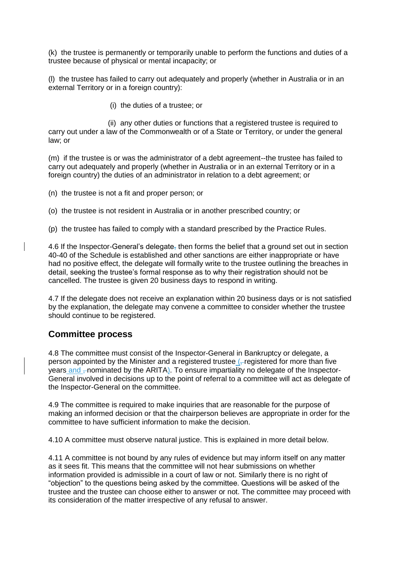(k) the trustee is permanently or temporarily unable to perform the functions and duties of a trustee because of physical or mental incapacity; or

(l) the trustee has failed to carry out adequately and properly (whether in Australia or in an external Territory or in a foreign country):

(i) the duties of a trustee; or

 (ii) any other duties or functions that a registered trustee is required to carry out under a law of the Commonwealth or of a State or Territory, or under the general law; or

(m) if the trustee is or was the administrator of a debt agreement--the trustee has failed to carry out adequately and properly (whether in Australia or in an external Territory or in a foreign country) the duties of an administrator in relation to a debt agreement; or

- (n) the trustee is not a fit and proper person; or
- (o) the trustee is not resident in Australia or in another prescribed country; or
- (p) the trustee has failed to comply with a standard prescribed by the Practice Rules.

4.6 If the Inspector-General's delegate, then forms the belief that a ground set out in section 40-40 of the Schedule is established and other sanctions are either inappropriate or have had no positive effect, the delegate will formally write to the trustee outlining the breaches in detail, seeking the trustee's formal response as to why their registration should not be cancelled. The trustee is given 20 business days to respond in writing.

4.7 If the delegate does not receive an explanation within 20 business days or is not satisfied by the explanation, the delegate may convene a committee to consider whether the trustee should continue to be registered.

#### **Committee process**

4.8 The committee must consist of the Inspector-General in Bankruptcy or delegate, a person appointed by the Minister and a registered trustee  $\sqrt{ }$ -registered for more than five years and  $<sub>z</sub>$  nominated by the ARITA). To ensure impartiality no delegate of the Inspector-</sub> General involved in decisions up to the point of referral to a committee will act as delegate of the Inspector-General on the committee.

4.9 The committee is required to make inquiries that are reasonable for the purpose of making an informed decision or that the chairperson believes are appropriate in order for the committee to have sufficient information to make the decision.

4.10 A committee must observe natural justice. This is explained in more detail below.

4.11 A committee is not bound by any rules of evidence but may inform itself on any matter as it sees fit. This means that the committee will not hear submissions on whether information provided is admissible in a court of law or not. Similarly there is no right of "objection" to the questions being asked by the committee. Questions will be asked of the trustee and the trustee can choose either to answer or not. The committee may proceed with its consideration of the matter irrespective of any refusal to answer.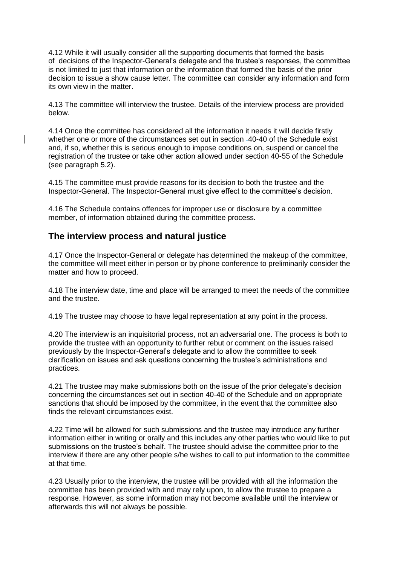4.12 While it will usually consider all the supporting documents that formed the basis of decisions of the Inspector-General's delegate and the trustee's responses, the committee is not limited to just that information or the information that formed the basis of the prior decision to issue a show cause letter. The committee can consider any information and form its own view in the matter.

4.13 The committee will interview the trustee. Details of the interview process are provided below.

4.14 Once the committee has considered all the information it needs it will decide firstly whether one or more of the circumstances set out in section -40-40 of the Schedule exist and, if so, whether this is serious enough to impose conditions on, suspend or cancel the registration of the trustee or take other action allowed under section 40-55 of the Schedule (see paragraph 5.2).

4.15 The committee must provide reasons for its decision to both the trustee and the Inspector-General. The Inspector-General must give effect to the committee's decision.

4.16 The Schedule contains offences for improper use or disclosure by a committee member, of information obtained during the committee process.

### **The interview process and natural justice**

4.17 Once the Inspector-General or delegate has determined the makeup of the committee, the committee will meet either in person or by phone conference to preliminarily consider the matter and how to proceed.

4.18 The interview date, time and place will be arranged to meet the needs of the committee and the trustee.

4.19 The trustee may choose to have legal representation at any point in the process.

4.20 The interview is an inquisitorial process, not an adversarial one. The process is both to provide the trustee with an opportunity to further rebut or comment on the issues raised previously by the Inspector-General's delegate and to allow the committee to seek clarification on issues and ask questions concerning the trustee's administrations and practices.

4.21 The trustee may make submissions both on the issue of the prior delegate's decision concerning the circumstances set out in section 40-40 of the Schedule and on appropriate sanctions that should be imposed by the committee, in the event that the committee also finds the relevant circumstances exist.

4.22 Time will be allowed for such submissions and the trustee may introduce any further information either in writing or orally and this includes any other parties who would like to put submissions on the trustee's behalf. The trustee should advise the committee prior to the interview if there are any other people s/he wishes to call to put information to the committee at that time.

4.23 Usually prior to the interview, the trustee will be provided with all the information the committee has been provided with and may rely upon, to allow the trustee to prepare a response. However, as some information may not become available until the interview or afterwards this will not always be possible.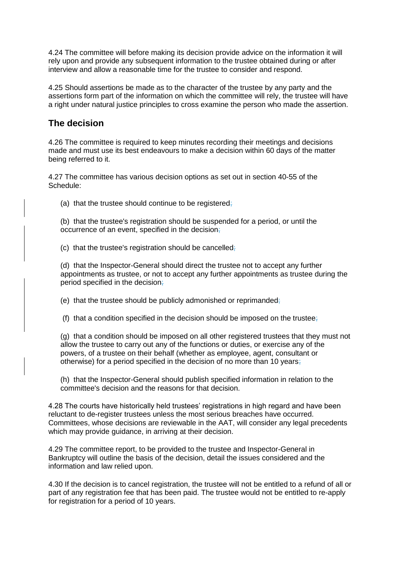4.24 The committee will before making its decision provide advice on the information it will rely upon and provide any subsequent information to the trustee obtained during or after interview and allow a reasonable time for the trustee to consider and respond.

4.25 Should assertions be made as to the character of the trustee by any party and the assertions form part of the information on which the committee will rely, the trustee will have a right under natural justice principles to cross examine the person who made the assertion.

#### **The decision**

4.26 The committee is required to keep minutes recording their meetings and decisions made and must use its best endeavours to make a decision within 60 days of the matter being referred to it.

4.27 The committee has various decision options as set out in section 40-55 of the Schedule:

(a) that the trustee should continue to be registered.

(b) that the trustee's registration should be suspended for a period, or until the occurrence of an event, specified in the decision;

(c) that the trustee's registration should be cancelled;

(d) that the Inspector-General should direct the trustee not to accept any further appointments as trustee, or not to accept any further appointments as trustee during the period specified in the decision;

(e) that the trustee should be publicly admonished or reprimanded;

(f) that a condition specified in the decision should be imposed on the trustee.

(g) that a condition should be imposed on all other registered trustees that they must not allow the trustee to carry out any of the functions or duties, or exercise any of the powers, of a trustee on their behalf (whether as employee, agent, consultant or otherwise) for a period specified in the decision of no more than 10 years;

(h) that the Inspector-General should publish specified information in relation to the committee's decision and the reasons for that decision.

4.28 The courts have historically held trustees' registrations in high regard and have been reluctant to de-register trustees unless the most serious breaches have occurred. Committees, whose decisions are reviewable in the AAT, will consider any legal precedents which may provide guidance, in arriving at their decision.

4.29 The committee report, to be provided to the trustee and Inspector-General in Bankruptcy will outline the basis of the decision, detail the issues considered and the information and law relied upon.

4.30 If the decision is to cancel registration, the trustee will not be entitled to a refund of all or part of any registration fee that has been paid. The trustee would not be entitled to re-apply for registration for a period of 10 years.